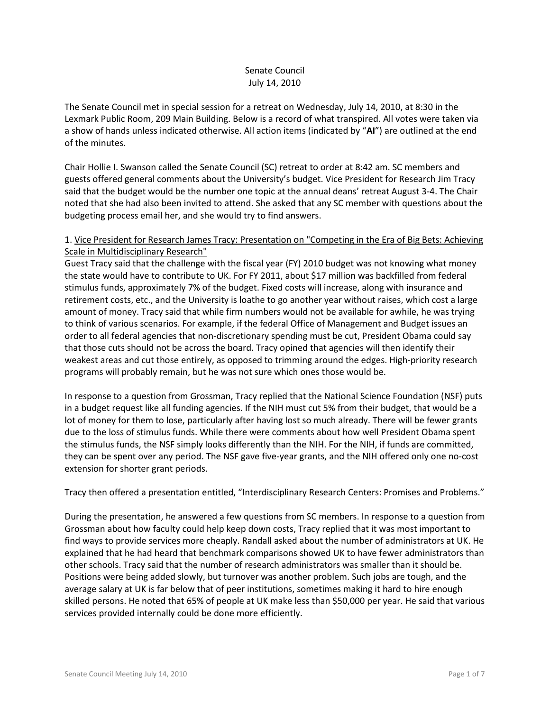# Senate Council July 14, 2010

The Senate Council met in special session for a retreat on Wednesday, July 14, 2010, at 8:30 in the Lexmark Public Room, 209 Main Building. Below is a record of what transpired. All votes were taken via a show of hands unless indicated otherwise. All action items (indicated by "**AI**") are outlined at the end of the minutes.

Chair Hollie I. Swanson called the Senate Council (SC) retreat to order at 8:42 am. SC members and guests offered general comments about the University's budget. Vice President for Research Jim Tracy said that the budget would be the number one topic at the annual deans' retreat August 3-4. The Chair noted that she had also been invited to attend. She asked that any SC member with questions about the budgeting process email her, and she would try to find answers.

# 1. Vice President for Research James Tracy: Presentation on "Competing in the Era of Big Bets: Achieving Scale in Multidisciplinary Research"

Guest Tracy said that the challenge with the fiscal year (FY) 2010 budget was not knowing what money the state would have to contribute to UK. For FY 2011, about \$17 million was backfilled from federal stimulus funds, approximately 7% of the budget. Fixed costs will increase, along with insurance and retirement costs, etc., and the University is loathe to go another year without raises, which cost a large amount of money. Tracy said that while firm numbers would not be available for awhile, he was trying to think of various scenarios. For example, if the federal Office of Management and Budget issues an order to all federal agencies that non-discretionary spending must be cut, President Obama could say that those cuts should not be across the board. Tracy opined that agencies will then identify their weakest areas and cut those entirely, as opposed to trimming around the edges. High-priority research programs will probably remain, but he was not sure which ones those would be.

In response to a question from Grossman, Tracy replied that the National Science Foundation (NSF) puts in a budget request like all funding agencies. If the NIH must cut 5% from their budget, that would be a lot of money for them to lose, particularly after having lost so much already. There will be fewer grants due to the loss of stimulus funds. While there were comments about how well President Obama spent the stimulus funds, the NSF simply looks differently than the NIH. For the NIH, if funds are committed, they can be spent over any period. The NSF gave five-year grants, and the NIH offered only one no-cost extension for shorter grant periods.

Tracy then offered a presentation entitled, "Interdisciplinary Research Centers: Promises and Problems."

During the presentation, he answered a few questions from SC members. In response to a question from Grossman about how faculty could help keep down costs, Tracy replied that it was most important to find ways to provide services more cheaply. Randall asked about the number of administrators at UK. He explained that he had heard that benchmark comparisons showed UK to have fewer administrators than other schools. Tracy said that the number of research administrators was smaller than it should be. Positions were being added slowly, but turnover was another problem. Such jobs are tough, and the average salary at UK is far below that of peer institutions, sometimes making it hard to hire enough skilled persons. He noted that 65% of people at UK make less than \$50,000 per year. He said that various services provided internally could be done more efficiently.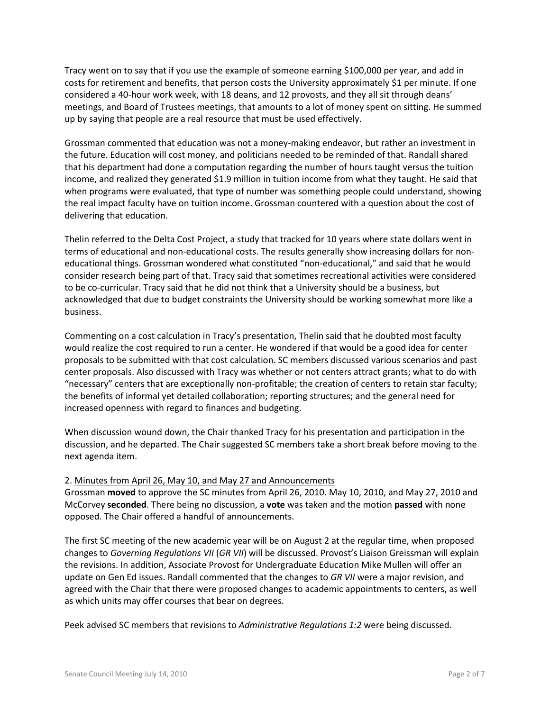Tracy went on to say that if you use the example of someone earning \$100,000 per year, and add in costs for retirement and benefits, that person costs the University approximately \$1 per minute. If one considered a 40-hour work week, with 18 deans, and 12 provosts, and they all sit through deans' meetings, and Board of Trustees meetings, that amounts to a lot of money spent on sitting. He summed up by saying that people are a real resource that must be used effectively.

Grossman commented that education was not a money-making endeavor, but rather an investment in the future. Education will cost money, and politicians needed to be reminded of that. Randall shared that his department had done a computation regarding the number of hours taught versus the tuition income, and realized they generated \$1.9 million in tuition income from what they taught. He said that when programs were evaluated, that type of number was something people could understand, showing the real impact faculty have on tuition income. Grossman countered with a question about the cost of delivering that education.

Thelin referred to the Delta Cost Project, a study that tracked for 10 years where state dollars went in terms of educational and non-educational costs. The results generally show increasing dollars for noneducational things. Grossman wondered what constituted "non-educational," and said that he would consider research being part of that. Tracy said that sometimes recreational activities were considered to be co-curricular. Tracy said that he did not think that a University should be a business, but acknowledged that due to budget constraints the University should be working somewhat more like a business.

Commenting on a cost calculation in Tracy's presentation, Thelin said that he doubted most faculty would realize the cost required to run a center. He wondered if that would be a good idea for center proposals to be submitted with that cost calculation. SC members discussed various scenarios and past center proposals. Also discussed with Tracy was whether or not centers attract grants; what to do with "necessary" centers that are exceptionally non-profitable; the creation of centers to retain star faculty; the benefits of informal yet detailed collaboration; reporting structures; and the general need for increased openness with regard to finances and budgeting.

When discussion wound down, the Chair thanked Tracy for his presentation and participation in the discussion, and he departed. The Chair suggested SC members take a short break before moving to the next agenda item.

#### 2. Minutes from April 26, May 10, and May 27 and Announcements

Grossman **moved** to approve the SC minutes from April 26, 2010. May 10, 2010, and May 27, 2010 and McCorvey **seconded**. There being no discussion, a **vote** was taken and the motion **passed** with none opposed. The Chair offered a handful of announcements.

The first SC meeting of the new academic year will be on August 2 at the regular time, when proposed changes to *Governing Regulations VII* (*GR VII*) will be discussed. Provost's Liaison Greissman will explain the revisions. In addition, Associate Provost for Undergraduate Education Mike Mullen will offer an update on Gen Ed issues. Randall commented that the changes to *GR VII* were a major revision, and agreed with the Chair that there were proposed changes to academic appointments to centers, as well as which units may offer courses that bear on degrees.

Peek advised SC members that revisions to *Administrative Regulations 1:2* were being discussed.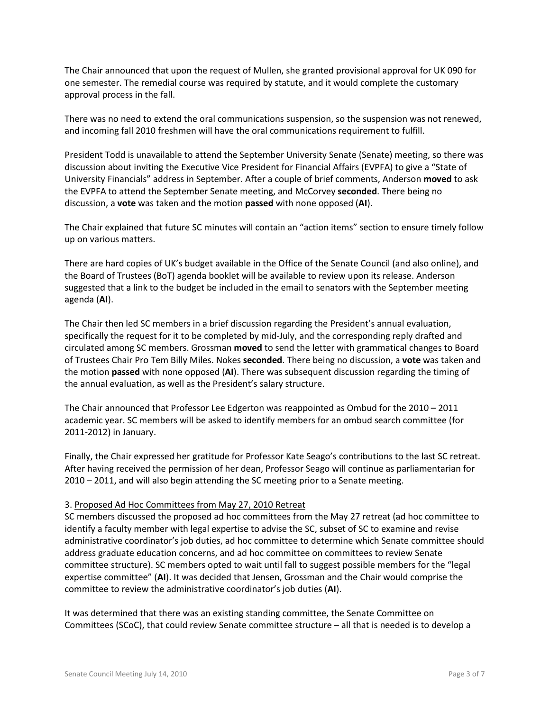The Chair announced that upon the request of Mullen, she granted provisional approval for UK 090 for one semester. The remedial course was required by statute, and it would complete the customary approval process in the fall.

There was no need to extend the oral communications suspension, so the suspension was not renewed, and incoming fall 2010 freshmen will have the oral communications requirement to fulfill.

President Todd is unavailable to attend the September University Senate (Senate) meeting, so there was discussion about inviting the Executive Vice President for Financial Affairs (EVPFA) to give a "State of University Financials" address in September. After a couple of brief comments, Anderson **moved** to ask the EVPFA to attend the September Senate meeting, and McCorvey **seconded**. There being no discussion, a **vote** was taken and the motion **passed** with none opposed (**AI**).

The Chair explained that future SC minutes will contain an "action items" section to ensure timely follow up on various matters.

There are hard copies of UK's budget available in the Office of the Senate Council (and also online), and the Board of Trustees (BoT) agenda booklet will be available to review upon its release. Anderson suggested that a link to the budget be included in the email to senators with the September meeting agenda (**AI**).

The Chair then led SC members in a brief discussion regarding the President's annual evaluation, specifically the request for it to be completed by mid-July, and the corresponding reply drafted and circulated among SC members. Grossman **moved** to send the letter with grammatical changes to Board of Trustees Chair Pro Tem Billy Miles. Nokes **seconded**. There being no discussion, a **vote** was taken and the motion **passed** with none opposed (**AI**). There was subsequent discussion regarding the timing of the annual evaluation, as well as the President's salary structure.

The Chair announced that Professor Lee Edgerton was reappointed as Ombud for the 2010 – 2011 academic year. SC members will be asked to identify members for an ombud search committee (for 2011-2012) in January.

Finally, the Chair expressed her gratitude for Professor Kate Seago's contributions to the last SC retreat. After having received the permission of her dean, Professor Seago will continue as parliamentarian for 2010 – 2011, and will also begin attending the SC meeting prior to a Senate meeting.

# 3. Proposed Ad Hoc Committees from May 27, 2010 Retreat

SC members discussed the proposed ad hoc committees from the May 27 retreat (ad hoc committee to identify a faculty member with legal expertise to advise the SC, subset of SC to examine and revise administrative coordinator's job duties, ad hoc committee to determine which Senate committee should address graduate education concerns, and ad hoc committee on committees to review Senate committee structure). SC members opted to wait until fall to suggest possible members for the "legal expertise committee" (**AI**). It was decided that Jensen, Grossman and the Chair would comprise the committee to review the administrative coordinator's job duties (**AI**).

It was determined that there was an existing standing committee, the Senate Committee on Committees (SCoC), that could review Senate committee structure – all that is needed is to develop a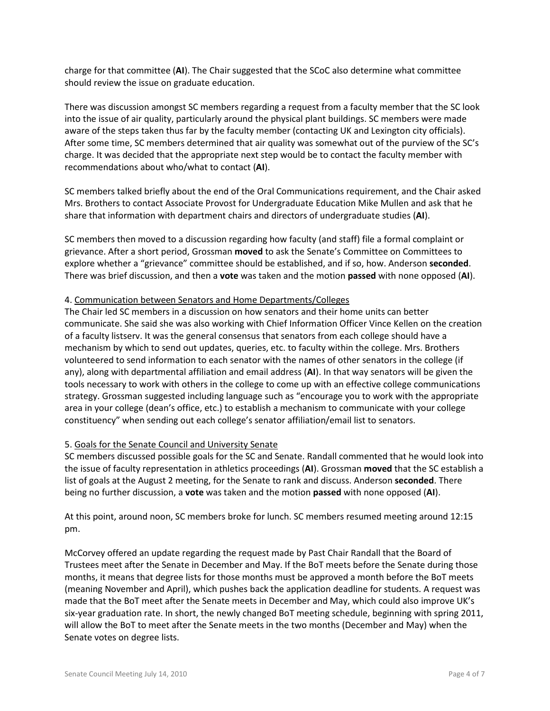charge for that committee (**AI**). The Chair suggested that the SCoC also determine what committee should review the issue on graduate education.

There was discussion amongst SC members regarding a request from a faculty member that the SC look into the issue of air quality, particularly around the physical plant buildings. SC members were made aware of the steps taken thus far by the faculty member (contacting UK and Lexington city officials). After some time, SC members determined that air quality was somewhat out of the purview of the SC's charge. It was decided that the appropriate next step would be to contact the faculty member with recommendations about who/what to contact (**AI**).

SC members talked briefly about the end of the Oral Communications requirement, and the Chair asked Mrs. Brothers to contact Associate Provost for Undergraduate Education Mike Mullen and ask that he share that information with department chairs and directors of undergraduate studies (**AI**).

SC members then moved to a discussion regarding how faculty (and staff) file a formal complaint or grievance. After a short period, Grossman **moved** to ask the Senate's Committee on Committees to explore whether a "grievance" committee should be established, and if so, how. Anderson **seconded**. There was brief discussion, and then a **vote** was taken and the motion **passed** with none opposed (**AI**).

# 4. Communication between Senators and Home Departments/Colleges

The Chair led SC members in a discussion on how senators and their home units can better communicate. She said she was also working with Chief Information Officer Vince Kellen on the creation of a faculty listserv. It was the general consensus that senators from each college should have a mechanism by which to send out updates, queries, etc. to faculty within the college. Mrs. Brothers volunteered to send information to each senator with the names of other senators in the college (if any), along with departmental affiliation and email address (**AI**). In that way senators will be given the tools necessary to work with others in the college to come up with an effective college communications strategy. Grossman suggested including language such as "encourage you to work with the appropriate area in your college (dean's office, etc.) to establish a mechanism to communicate with your college constituency" when sending out each college's senator affiliation/email list to senators.

# 5. Goals for the Senate Council and University Senate

SC members discussed possible goals for the SC and Senate. Randall commented that he would look into the issue of faculty representation in athletics proceedings (**AI**). Grossman **moved** that the SC establish a list of goals at the August 2 meeting, for the Senate to rank and discuss. Anderson **seconded**. There being no further discussion, a **vote** was taken and the motion **passed** with none opposed (**AI**).

At this point, around noon, SC members broke for lunch. SC members resumed meeting around 12:15 pm.

McCorvey offered an update regarding the request made by Past Chair Randall that the Board of Trustees meet after the Senate in December and May. If the BoT meets before the Senate during those months, it means that degree lists for those months must be approved a month before the BoT meets (meaning November and April), which pushes back the application deadline for students. A request was made that the BoT meet after the Senate meets in December and May, which could also improve UK's six-year graduation rate. In short, the newly changed BoT meeting schedule, beginning with spring 2011, will allow the BoT to meet after the Senate meets in the two months (December and May) when the Senate votes on degree lists.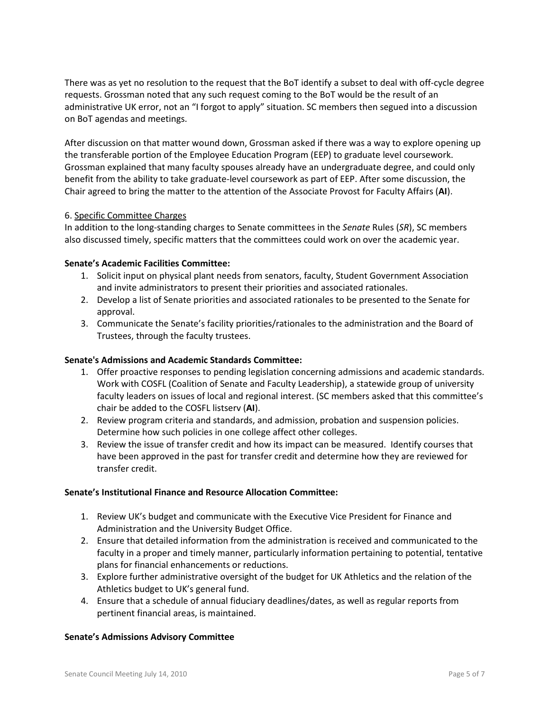There was as yet no resolution to the request that the BoT identify a subset to deal with off-cycle degree requests. Grossman noted that any such request coming to the BoT would be the result of an administrative UK error, not an "I forgot to apply" situation. SC members then segued into a discussion on BoT agendas and meetings.

After discussion on that matter wound down, Grossman asked if there was a way to explore opening up the transferable portion of the Employee Education Program (EEP) to graduate level coursework. Grossman explained that many faculty spouses already have an undergraduate degree, and could only benefit from the ability to take graduate-level coursework as part of EEP. After some discussion, the Chair agreed to bring the matter to the attention of the Associate Provost for Faculty Affairs (**AI**).

# 6. Specific Committee Charges

In addition to the long-standing charges to Senate committees in the *Senate* Rules (*SR*), SC members also discussed timely, specific matters that the committees could work on over the academic year.

## **Senate's Academic Facilities Committee:**

- 1. Solicit input on physical plant needs from senators, faculty, Student Government Association and invite administrators to present their priorities and associated rationales.
- 2. Develop a list of Senate priorities and associated rationales to be presented to the Senate for approval.
- 3. Communicate the Senate's facility priorities/rationales to the administration and the Board of Trustees, through the faculty trustees.

### **Senate's Admissions and Academic Standards Committee:**

- 1. Offer proactive responses to pending legislation concerning admissions and academic standards. Work with COSFL (Coalition of Senate and Faculty Leadership), a statewide group of university faculty leaders on issues of local and regional interest. (SC members asked that this committee's chair be added to the COSFL listserv (**AI**).
- 2. Review program criteria and standards, and admission, probation and suspension policies. Determine how such policies in one college affect other colleges.
- 3. Review the issue of transfer credit and how its impact can be measured. Identify courses that have been approved in the past for transfer credit and determine how they are reviewed for transfer credit.

#### **Senate's Institutional Finance and Resource Allocation Committee:**

- 1. Review UK's budget and communicate with the Executive Vice President for Finance and Administration and the University Budget Office.
- 2. Ensure that detailed information from the administration is received and communicated to the faculty in a proper and timely manner, particularly information pertaining to potential, tentative plans for financial enhancements or reductions.
- 3. Explore further administrative oversight of the budget for UK Athletics and the relation of the Athletics budget to UK's general fund.
- 4. Ensure that a schedule of annual fiduciary deadlines/dates, as well as regular reports from pertinent financial areas, is maintained.

#### **Senate's Admissions Advisory Committee**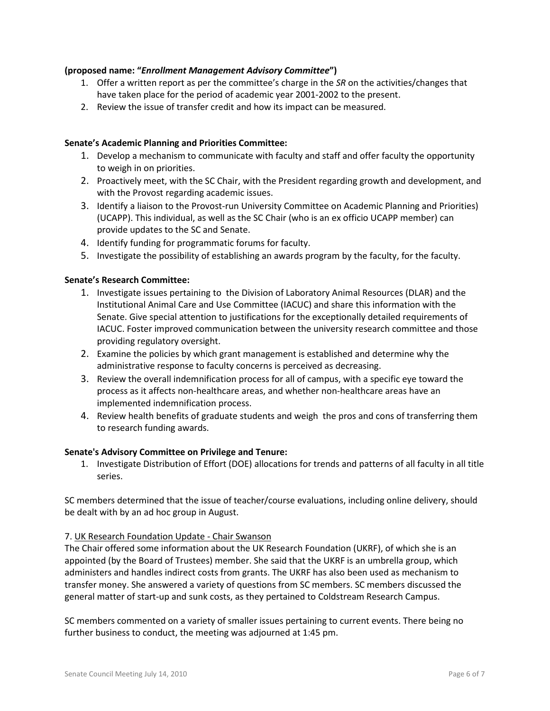## **(proposed name: "***Enrollment Management Advisory Committee***")**

- 1. Offer a written report as per the committee's charge in the *SR* on the activities/changes that have taken place for the period of academic year 2001-2002 to the present.
- 2. Review the issue of transfer credit and how its impact can be measured.

## **Senate's Academic Planning and Priorities Committee:**

- 1. Develop a mechanism to communicate with faculty and staff and offer faculty the opportunity to weigh in on priorities.
- 2. Proactively meet, with the SC Chair, with the President regarding growth and development, and with the Provost regarding academic issues.
- 3. Identify a liaison to the Provost-run University Committee on Academic Planning and Priorities) (UCAPP). This individual, as well as the SC Chair (who is an ex officio UCAPP member) can provide updates to the SC and Senate.
- 4. Identify funding for programmatic forums for faculty.
- 5. Investigate the possibility of establishing an awards program by the faculty, for the faculty.

## **Senate's Research Committee:**

- 1. Investigate issues pertaining to the Division of Laboratory Animal Resources (DLAR) and the Institutional Animal Care and Use Committee (IACUC) and share this information with the Senate. Give special attention to justifications for the exceptionally detailed requirements of IACUC. Foster improved communication between the university research committee and those providing regulatory oversight.
- 2. Examine the policies by which grant management is established and determine why the administrative response to faculty concerns is perceived as decreasing.
- 3. Review the overall indemnification process for all of campus, with a specific eye toward the process as it affects non-healthcare areas, and whether non-healthcare areas have an implemented indemnification process.
- 4. Review health benefits of graduate students and weigh the pros and cons of transferring them to research funding awards.

#### **Senate's Advisory Committee on Privilege and Tenure:**

1. Investigate Distribution of Effort (DOE) allocations for trends and patterns of all faculty in all title series.

SC members determined that the issue of teacher/course evaluations, including online delivery, should be dealt with by an ad hoc group in August.

#### 7. UK Research Foundation Update - Chair Swanson

The Chair offered some information about the UK Research Foundation (UKRF), of which she is an appointed (by the Board of Trustees) member. She said that the UKRF is an umbrella group, which administers and handles indirect costs from grants. The UKRF has also been used as mechanism to transfer money. She answered a variety of questions from SC members. SC members discussed the general matter of start-up and sunk costs, as they pertained to Coldstream Research Campus.

SC members commented on a variety of smaller issues pertaining to current events. There being no further business to conduct, the meeting was adjourned at 1:45 pm.